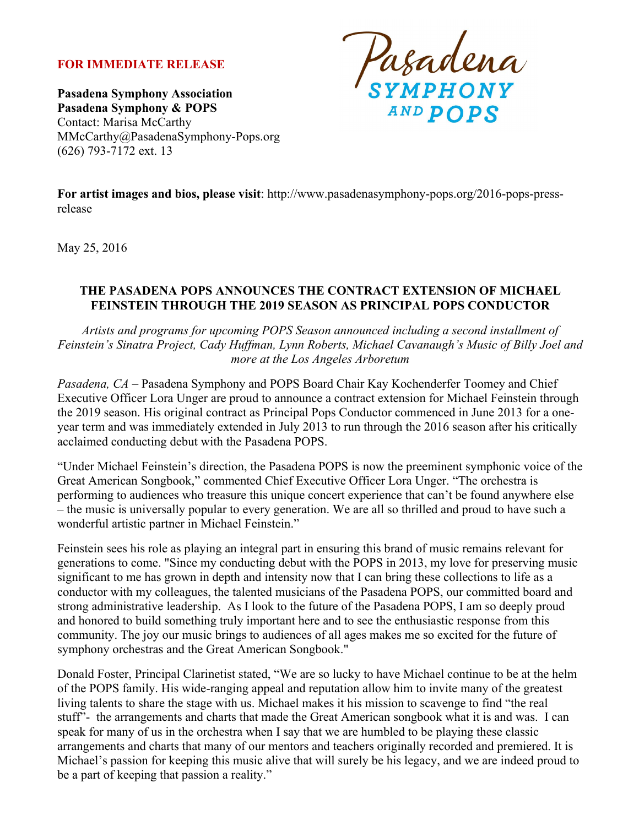### **FOR IMMEDIATE RELEASE**

**Pasadena Symphony Association Pasadena Symphony & POPS** Contact: Marisa McCarthy MMcCarthy@PasadenaSymphony-Pops.org (626) 793-7172 ext. 13

Pasadena **AND POPS** 

**For artist images and bios, please visit**: http://www.pasadenasymphony-pops.org/2016-pops-pressrelease

May 25, 2016

#### **THE PASADENA POPS ANNOUNCES THE CONTRACT EXTENSION OF MICHAEL FEINSTEIN THROUGH THE 2019 SEASON AS PRINCIPAL POPS CONDUCTOR**

*Artists and programs for upcoming POPS Season announced including a second installment of Feinstein's Sinatra Project, Cady Huffman, Lynn Roberts, Michael Cavanaugh's Music of Billy Joel and more at the Los Angeles Arboretum*

*Pasadena, CA –* Pasadena Symphony and POPS Board Chair Kay Kochenderfer Toomey and Chief Executive Officer Lora Unger are proud to announce a contract extension for Michael Feinstein through the 2019 season. His original contract as Principal Pops Conductor commenced in June 2013 for a oneyear term and was immediately extended in July 2013 to run through the 2016 season after his critically acclaimed conducting debut with the Pasadena POPS.

"Under Michael Feinstein's direction, the Pasadena POPS is now the preeminent symphonic voice of the Great American Songbook," commented Chief Executive Officer Lora Unger. "The orchestra is performing to audiences who treasure this unique concert experience that can't be found anywhere else – the music is universally popular to every generation. We are all so thrilled and proud to have such a wonderful artistic partner in Michael Feinstein."

Feinstein sees his role as playing an integral part in ensuring this brand of music remains relevant for generations to come. "Since my conducting debut with the POPS in 2013, my love for preserving music significant to me has grown in depth and intensity now that I can bring these collections to life as a conductor with my colleagues, the talented musicians of the Pasadena POPS, our committed board and strong administrative leadership. As I look to the future of the Pasadena POPS, I am so deeply proud and honored to build something truly important here and to see the enthusiastic response from this community. The joy our music brings to audiences of all ages makes me so excited for the future of symphony orchestras and the Great American Songbook."

Donald Foster, Principal Clarinetist stated, "We are so lucky to have Michael continue to be at the helm of the POPS family. His wide-ranging appeal and reputation allow him to invite many of the greatest living talents to share the stage with us. Michael makes it his mission to scavenge to find "the real stuff"- the arrangements and charts that made the Great American songbook what it is and was. I can speak for many of us in the orchestra when I say that we are humbled to be playing these classic arrangements and charts that many of our mentors and teachers originally recorded and premiered. It is Michael's passion for keeping this music alive that will surely be his legacy, and we are indeed proud to be a part of keeping that passion a reality."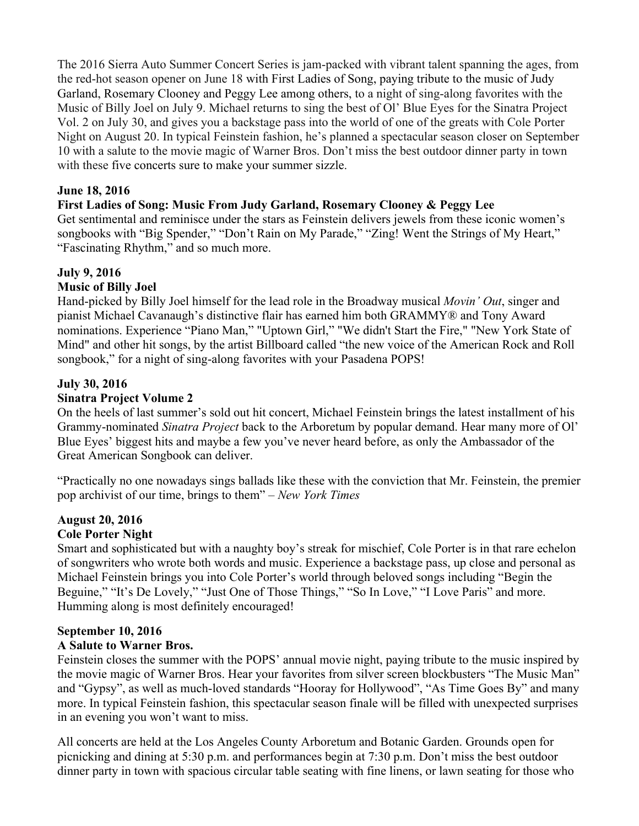The 2016 Sierra Auto Summer Concert Series is jam-packed with vibrant talent spanning the ages, from the red-hot season opener on June 18 with First Ladies of Song, paying tribute to the music of Judy Garland, Rosemary Clooney and Peggy Lee among others, to a night of sing-along favorites with the Music of Billy Joel on July 9. Michael returns to sing the best of Ol' Blue Eyes for the Sinatra Project Vol. 2 on July 30, and gives you a backstage pass into the world of one of the greats with Cole Porter Night on August 20. In typical Feinstein fashion, he's planned a spectacular season closer on September 10 with a salute to the movie magic of Warner Bros. Don't miss the best outdoor dinner party in town with these five concerts sure to make your summer sizzle.

# **June 18, 2016**

**First Ladies of Song: Music From Judy Garland, Rosemary Clooney & Peggy Lee**

Get sentimental and reminisce under the stars as Feinstein delivers jewels from these iconic women's songbooks with "Big Spender," "Don't Rain on My Parade," "Zing! Went the Strings of My Heart," "Fascinating Rhythm," and so much more.

# **July 9, 2016**

### **Music of Billy Joel**

Hand-picked by Billy Joel himself for the lead role in the Broadway musical *Movin' Out*, singer and pianist Michael Cavanaugh's distinctive flair has earned him both GRAMMY® and Tony Award nominations. Experience "Piano Man," "Uptown Girl," "We didn't Start the Fire," "New York State of Mind" and other hit songs, by the artist Billboard called "the new voice of the American Rock and Roll songbook," for a night of sing-along favorites with your Pasadena POPS!

# **July 30, 2016**

# **Sinatra Project Volume 2**

On the heels of last summer's sold out hit concert, Michael Feinstein brings the latest installment of his Grammy-nominated *Sinatra Project* back to the Arboretum by popular demand. Hear many more of Ol' Blue Eyes' biggest hits and maybe a few you've never heard before, as only the Ambassador of the Great American Songbook can deliver.

"Practically no one nowadays sings ballads like these with the conviction that Mr. Feinstein, the premier pop archivist of our time, brings to them" – *New York Times*

# **August 20, 2016**

### **Cole Porter Night**

Smart and sophisticated but with a naughty boy's streak for mischief, Cole Porter is in that rare echelon of songwriters who wrote both words and music. Experience a backstage pass, up close and personal as Michael Feinstein brings you into Cole Porter's world through beloved songs including "Begin the Beguine," "It's De Lovely," "Just One of Those Things," "So In Love," "I Love Paris" and more. Humming along is most definitely encouraged!

# **September 10, 2016**

# **A Salute to Warner Bros.**

Feinstein closes the summer with the POPS' annual movie night, paying tribute to the music inspired by the movie magic of Warner Bros. Hear your favorites from silver screen blockbusters "The Music Man" and "Gypsy", as well as much-loved standards "Hooray for Hollywood", "As Time Goes By" and many more. In typical Feinstein fashion, this spectacular season finale will be filled with unexpected surprises in an evening you won't want to miss.

All concerts are held at the Los Angeles County Arboretum and Botanic Garden. Grounds open for picnicking and dining at 5:30 p.m. and performances begin at 7:30 p.m. Don't miss the best outdoor dinner party in town with spacious circular table seating with fine linens, or lawn seating for those who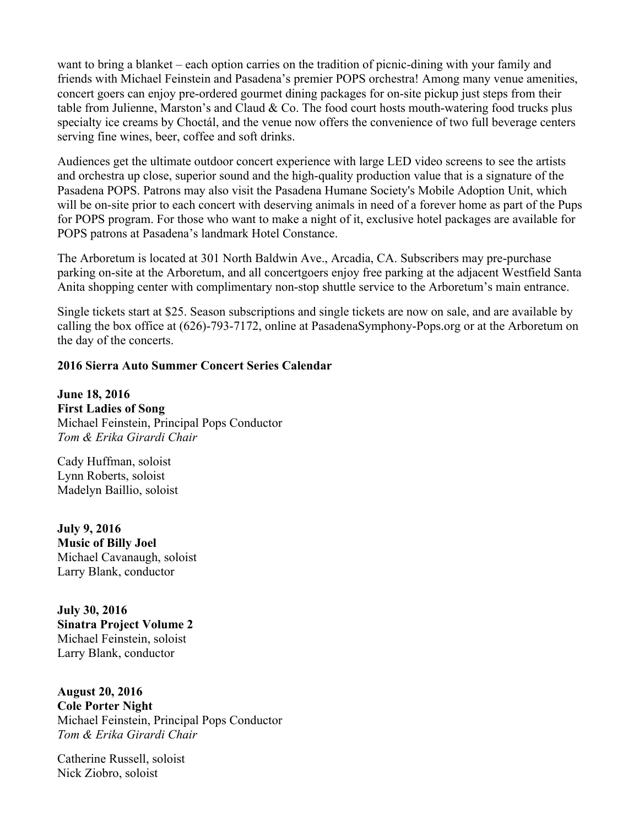want to bring a blanket – each option carries on the tradition of picnic-dining with your family and friends with Michael Feinstein and Pasadena's premier POPS orchestra! Among many venue amenities, concert goers can enjoy pre-ordered gourmet dining packages for on-site pickup just steps from their table from Julienne, Marston's and Claud  $& Co$ . The food court hosts mouth-watering food trucks plus specialty ice creams by Choctál, and the venue now offers the convenience of two full beverage centers serving fine wines, beer, coffee and soft drinks.

Audiences get the ultimate outdoor concert experience with large LED video screens to see the artists and orchestra up close, superior sound and the high-quality production value that is a signature of the Pasadena POPS. Patrons may also visit the Pasadena Humane Society's Mobile Adoption Unit, which will be on-site prior to each concert with deserving animals in need of a forever home as part of the Pups for POPS program. For those who want to make a night of it, exclusive hotel packages are available for POPS patrons at Pasadena's landmark Hotel Constance.

The Arboretum is located at 301 North Baldwin Ave., Arcadia, CA. Subscribers may pre-purchase parking on-site at the Arboretum, and all concertgoers enjoy free parking at the adjacent Westfield Santa Anita shopping center with complimentary non-stop shuttle service to the Arboretum's main entrance.

Single tickets start at \$25. Season subscriptions and single tickets are now on sale, and are available by calling the box office at (626)-793-7172, online at PasadenaSymphony-Pops.org or at the Arboretum on the day of the concerts.

#### **2016 Sierra Auto Summer Concert Series Calendar**

**June 18, 2016 First Ladies of Song** Michael Feinstein, Principal Pops Conductor *Tom & Erika Girardi Chair*

Cady Huffman, soloist Lynn Roberts, soloist Madelyn Baillio, soloist

**July 9, 2016 Music of Billy Joel** Michael Cavanaugh, soloist Larry Blank, conductor

**July 30, 2016 Sinatra Project Volume 2** Michael Feinstein, soloist Larry Blank, conductor

**August 20, 2016 Cole Porter Night** Michael Feinstein, Principal Pops Conductor *Tom & Erika Girardi Chair*

Catherine Russell, soloist Nick Ziobro, soloist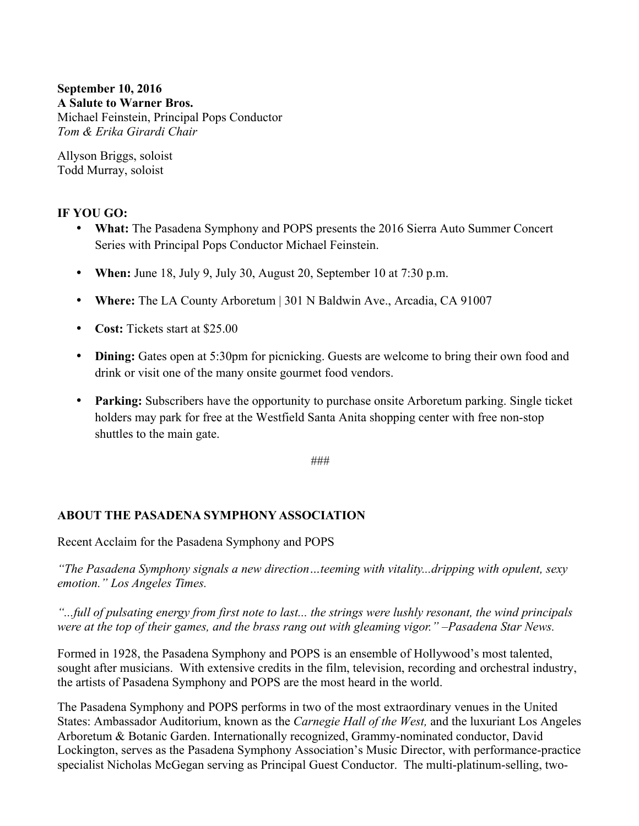# **September 10, 2016 A Salute to Warner Bros.**

Michael Feinstein, Principal Pops Conductor *Tom & Erika Girardi Chair*

Allyson Briggs, soloist Todd Murray, soloist

# **IF YOU GO:**

- **What:** The Pasadena Symphony and POPS presents the 2016 Sierra Auto Summer Concert Series with Principal Pops Conductor Michael Feinstein.
- **When:** June 18, July 9, July 30, August 20, September 10 at 7:30 p.m.
- **Where:** The LA County Arboretum | 301 N Baldwin Ave., Arcadia, CA 91007
- **Cost:** Tickets start at \$25.00
- **Dining:** Gates open at 5:30pm for picnicking. Guests are welcome to bring their own food and drink or visit one of the many onsite gourmet food vendors.
- **Parking:** Subscribers have the opportunity to purchase onsite Arboretum parking. Single ticket holders may park for free at the Westfield Santa Anita shopping center with free non-stop shuttles to the main gate.

###

### **ABOUT THE PASADENA SYMPHONY ASSOCIATION**

Recent Acclaim for the Pasadena Symphony and POPS

*"The Pasadena Symphony signals a new direction…teeming with vitality...dripping with opulent, sexy emotion." Los Angeles Times.* 

*"...full of pulsating energy from first note to last... the strings were lushly resonant, the wind principals were at the top of their games, and the brass rang out with gleaming vigor." –Pasadena Star News.*

Formed in 1928, the Pasadena Symphony and POPS is an ensemble of Hollywood's most talented, sought after musicians. With extensive credits in the film, television, recording and orchestral industry, the artists of Pasadena Symphony and POPS are the most heard in the world.

The Pasadena Symphony and POPS performs in two of the most extraordinary venues in the United States: Ambassador Auditorium, known as the *Carnegie Hall of the West,* and the luxuriant Los Angeles Arboretum & Botanic Garden. Internationally recognized, Grammy-nominated conductor, David Lockington, serves as the Pasadena Symphony Association's Music Director, with performance-practice specialist Nicholas McGegan serving as Principal Guest Conductor. The multi-platinum-selling, two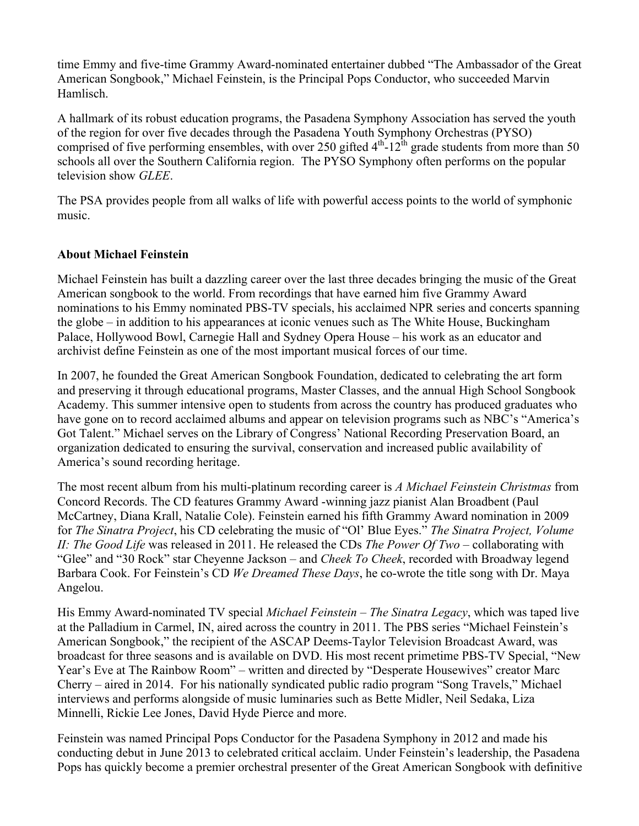time Emmy and five-time Grammy Award-nominated entertainer dubbed "The Ambassador of the Great American Songbook," Michael Feinstein, is the Principal Pops Conductor, who succeeded Marvin Hamlisch.

A hallmark of its robust education programs, the Pasadena Symphony Association has served the youth of the region for over five decades through the Pasadena Youth Symphony Orchestras (PYSO) comprised of five performing ensembles, with over 250 gifted  $4<sup>th</sup>$ -12<sup>th</sup> grade students from more than 50 schools all over the Southern California region. The PYSO Symphony often performs on the popular television show *GLEE*.

The PSA provides people from all walks of life with powerful access points to the world of symphonic music.

### **About Michael Feinstein**

Michael Feinstein has built a dazzling career over the last three decades bringing the music of the Great American songbook to the world. From recordings that have earned him five Grammy Award nominations to his Emmy nominated PBS-TV specials, his acclaimed NPR series and concerts spanning the globe – in addition to his appearances at iconic venues such as The White House, Buckingham Palace, Hollywood Bowl, Carnegie Hall and Sydney Opera House – his work as an educator and archivist define Feinstein as one of the most important musical forces of our time.

In 2007, he founded the Great American Songbook Foundation, dedicated to celebrating the art form and preserving it through educational programs, Master Classes, and the annual High School Songbook Academy. This summer intensive open to students from across the country has produced graduates who have gone on to record acclaimed albums and appear on television programs such as NBC's "America's Got Talent." Michael serves on the Library of Congress' National Recording Preservation Board, an organization dedicated to ensuring the survival, conservation and increased public availability of America's sound recording heritage.

The most recent album from his multi-platinum recording career is *A Michael Feinstein Christmas* from Concord Records. The CD features Grammy Award -winning jazz pianist Alan Broadbent (Paul McCartney, Diana Krall, Natalie Cole). Feinstein earned his fifth Grammy Award nomination in 2009 for *The Sinatra Project*, his CD celebrating the music of "Ol' Blue Eyes." *The Sinatra Project, Volume II: The Good Life* was released in 2011. He released the CDs *The Power Of Two* – collaborating with "Glee" and "30 Rock" star Cheyenne Jackson – and *Cheek To Cheek*, recorded with Broadway legend Barbara Cook. For Feinstein's CD *We Dreamed These Days*, he co-wrote the title song with Dr. Maya Angelou.

His Emmy Award-nominated TV special *Michael Feinstein – The Sinatra Legacy*, which was taped live at the Palladium in Carmel, IN, aired across the country in 2011. The PBS series "Michael Feinstein's American Songbook," the recipient of the ASCAP Deems-Taylor Television Broadcast Award, was broadcast for three seasons and is available on DVD. His most recent primetime PBS-TV Special, "New Year's Eve at The Rainbow Room" *–* written and directed by "Desperate Housewives" creator Marc Cherry *–* aired in 2014. For his nationally syndicated public radio program "Song Travels," Michael interviews and performs alongside of music luminaries such as Bette Midler, Neil Sedaka, Liza Minnelli, Rickie Lee Jones, David Hyde Pierce and more.

Feinstein was named Principal Pops Conductor for the Pasadena Symphony in 2012 and made his conducting debut in June 2013 to celebrated critical acclaim. Under Feinstein's leadership, the Pasadena Pops has quickly become a premier orchestral presenter of the Great American Songbook with definitive